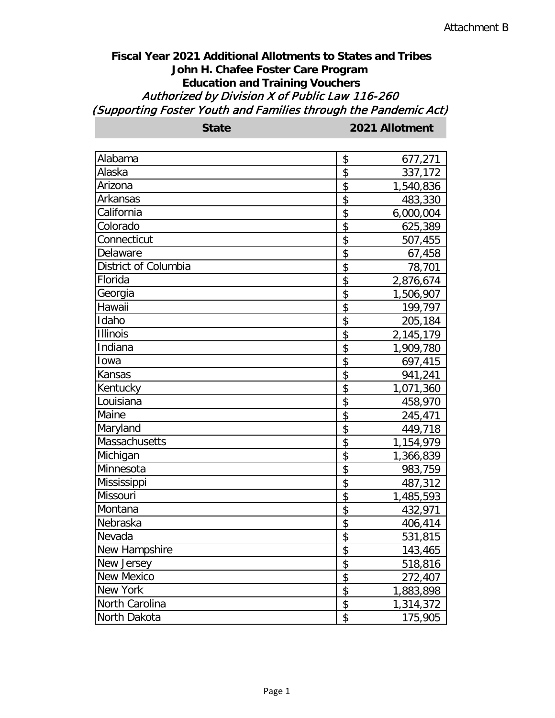## **Fiscal Year 2021 Additional Allotments to States and Tribes John H. Chafee Foster Care Program Education and Training Vouchers** Authorized by Division X of Public Law 116-260 (Supporting Foster Youth and Families through the Pandemic Act)

| <b>State</b>         | 2021 Allotment  |  |
|----------------------|-----------------|--|
|                      |                 |  |
| Alabama              | \$<br>677,271   |  |
| Alaska               | \$<br>337,172   |  |
| Arizona              | \$<br>1,540,836 |  |
| Arkansas             | \$<br>483,330   |  |
| California           | \$<br>6,000,004 |  |
| Colorado             | \$<br>625,389   |  |
| Connecticut          | \$<br>507,455   |  |
| Delaware             | \$<br>67,458    |  |
| District of Columbia | \$<br>78,701    |  |
| Florida              | \$<br>2,876,674 |  |
| Georgia              | \$<br>1,506,907 |  |
| Hawaii               | \$<br>199,797   |  |
| Idaho                | \$<br>205,184   |  |
| <b>Illinois</b>      | \$<br>2,145,179 |  |
| Indiana              | \$<br>1,909,780 |  |
| Iowa                 | \$<br>697,415   |  |
| Kansas               | \$<br>941,241   |  |
| Kentucky             | \$<br>1,071,360 |  |
| Louisiana            | \$<br>458,970   |  |
| Maine                | \$<br>245,471   |  |
| Maryland             | \$<br>449,718   |  |
| Massachusetts        | \$<br>1,154,979 |  |
| Michigan             | \$<br>1,366,839 |  |
| Minnesota            | \$<br>983,759   |  |
| Mississippi          | \$<br>487,312   |  |
| Missouri             | \$<br>1,485,593 |  |
| Montana              | \$<br>432,971   |  |
| Nebraska             | \$<br>406,414   |  |
| Nevada               | \$<br>531,815   |  |
| New Hampshire        | \$<br>143,465   |  |
| New Jersey           | \$<br>518,816   |  |
| New Mexico           | \$<br>272,407   |  |
| New York             | \$<br>1,883,898 |  |
| North Carolina       | \$<br>1,314,372 |  |
| North Dakota         | \$<br>175,905   |  |